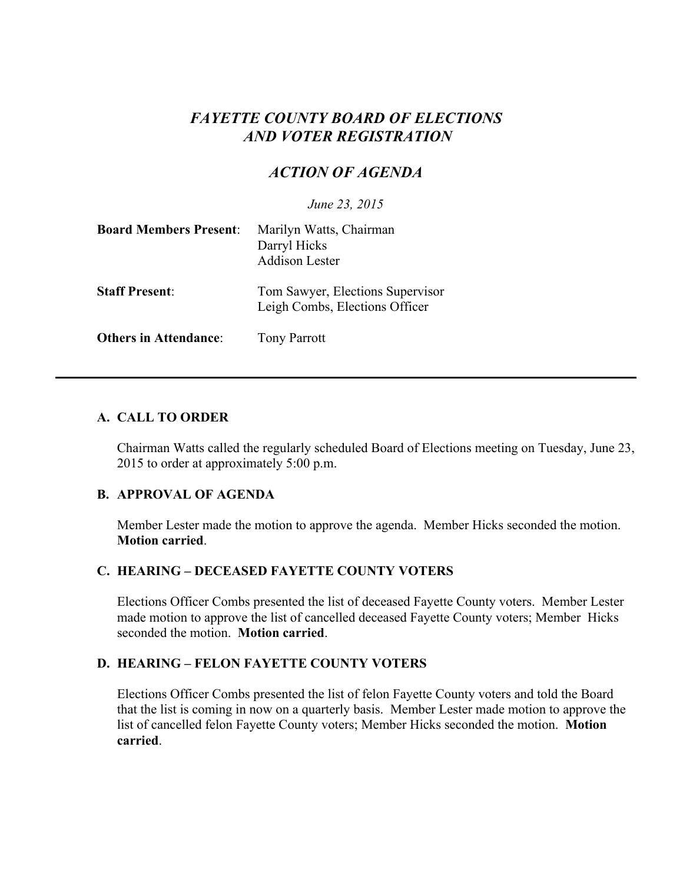# *FAYETTE COUNTY BOARD OF ELECTIONS AND VOTER REGISTRATION*

# *ACTION OF AGENDA*

*June 23, 2015*

| <b>Board Members Present:</b> | Marilyn Watts, Chairman<br>Darryl Hicks<br><b>Addison Lester</b>   |
|-------------------------------|--------------------------------------------------------------------|
| <b>Staff Present:</b>         | Tom Sawyer, Elections Supervisor<br>Leigh Combs, Elections Officer |
| <b>Others in Attendance:</b>  | <b>Tony Parrott</b>                                                |

# **A. CALL TO ORDER**

Chairman Watts called the regularly scheduled Board of Elections meeting on Tuesday, June 23, 2015 to order at approximately 5:00 p.m.

# **B. APPROVAL OF AGENDA**

Member Lester made the motion to approve the agenda. Member Hicks seconded the motion. **Motion carried**.

# **C. HEARING – DECEASED FAYETTE COUNTY VOTERS**

Elections Officer Combs presented the list of deceased Fayette County voters. Member Lester made motion to approve the list of cancelled deceased Fayette County voters; Member Hicks seconded the motion. **Motion carried**.

# **D. HEARING – FELON FAYETTE COUNTY VOTERS**

Elections Officer Combs presented the list of felon Fayette County voters and told the Board that the list is coming in now on a quarterly basis. Member Lester made motion to approve the list of cancelled felon Fayette County voters; Member Hicks seconded the motion. **Motion carried**.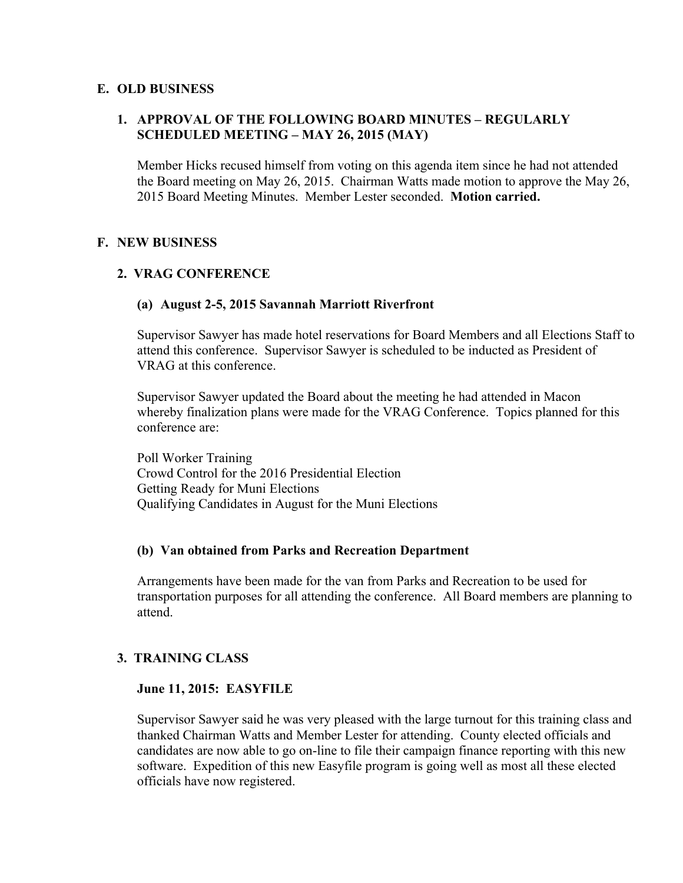# **E. OLD BUSINESS**

# **1. APPROVAL OF THE FOLLOWING BOARD MINUTES – REGULARLY SCHEDULED MEETING – MAY 26, 2015 (MAY)**

Member Hicks recused himself from voting on this agenda item since he had not attended the Board meeting on May 26, 2015. Chairman Watts made motion to approve the May 26, 2015 Board Meeting Minutes. Member Lester seconded. **Motion carried.**

# **F. NEW BUSINESS**

# **2. VRAG CONFERENCE**

#### **(a) August 2-5, 2015 Savannah Marriott Riverfront**

Supervisor Sawyer has made hotel reservations for Board Members and all Elections Staff to attend this conference. Supervisor Sawyer is scheduled to be inducted as President of VRAG at this conference.

Supervisor Sawyer updated the Board about the meeting he had attended in Macon whereby finalization plans were made for the VRAG Conference. Topics planned for this conference are:

Poll Worker Training Crowd Control for the 2016 Presidential Election Getting Ready for Muni Elections Qualifying Candidates in August for the Muni Elections

#### **(b) Van obtained from Parks and Recreation Department**

Arrangements have been made for the van from Parks and Recreation to be used for transportation purposes for all attending the conference. All Board members are planning to attend.

# **3. TRAINING CLASS**

#### **June 11, 2015: EASYFILE**

Supervisor Sawyer said he was very pleased with the large turnout for this training class and thanked Chairman Watts and Member Lester for attending. County elected officials and candidates are now able to go on-line to file their campaign finance reporting with this new software. Expedition of this new Easyfile program is going well as most all these elected officials have now registered.